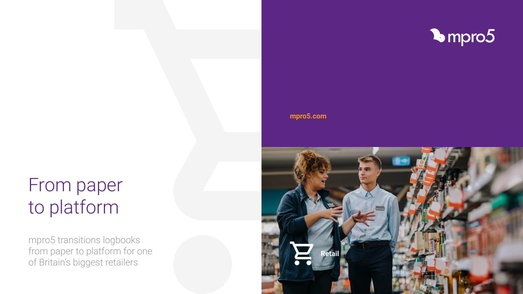## **[mpro5.com](https://mpro5.com/case-studies)**





mpro5 transitions logbooks from paper to platform for one of Britain's biggest retailers

# From paper to platform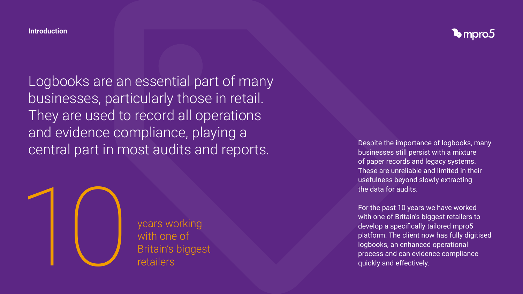Logbooks are an essential part of many businesses, particularly those in retail. They are used to record all operations and evidence compliance, playing a Despite the importance of logbooks, many Despite the importance of logbooks, many Despite the importance of logbooks, many

businesses still persist with a mixture of paper records and legacy systems. These are unreliable and limited in their usefulness beyond slowly extracting the data for audits.

For the past 10 years we have worked with one of Britain's biggest retailers to develop a specifically tailored mpro5 platform. The client now has fully digitised logbooks, an enhanced operational process and can evidence compliance quickly and effectively.



years working with one of

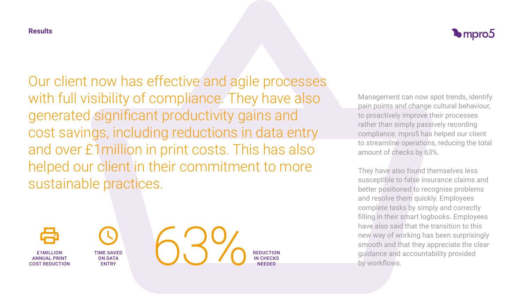### **Results**

Our client now has effective and agile processes with full visibility of compliance. They have also generated significant productivity gains and cost savings, including reductions in data entry and over £1million in print costs. This has also helped our client in their commitment to more sustainable practices.



Management can now spot trends, identify pain points and change cultural behaviour, to proactively improve their processes rather than simply passively recording compliance. mpro5 has helped our client to streamline operations, reducing the total amount of checks by 63%.

They have also found themselves less susceptible to false insurance claims and better positioned to recognise problems and resolve them quickly. Employees complete tasks by simply and correctly filling in their smart logbooks. Employees have also said that the transition to this new way of working has been surprisingly smooth and that they appreciate the clear guidance and accountability provided by workflows.

£1MILLION ANNUAL PRINT COST REDUCTION





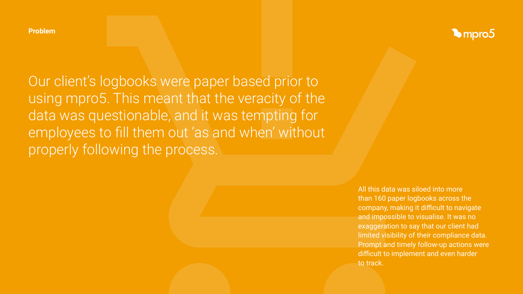**Problem**

Our client's logbooks were paper based prior to using mpro5. This meant that the veracity of the data was questionable, and it was tempting for employees to fill them out 'as and when' without properly following the process.

> All this data was siloed into more than 160 paper logbooks across the company, making it difficult to navigate and impossible to visualise. It was no exaggeration to say that our client had limited visibility of their compliance data. Prompt and timely follow-up actions were difficult to implement and even harder to track.

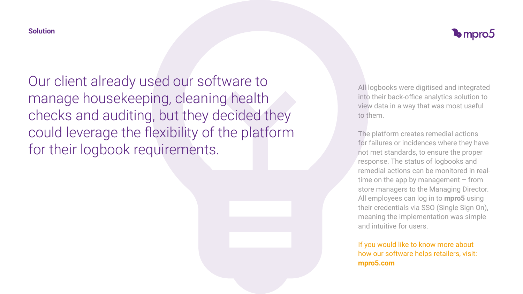### **Solution**

Our client already used our software to manage housekeeping, cleaning health checks and auditing, but they decided they could leverage the flexibility of the platform for their logbook requirements.

All logbooks were digitised and integrated into their back-office analytics solution to view data in a way that was most useful to them.

The platform creates remedial actions for failures or incidences where they have not met standards, to ensure the proper response. The status of logbooks and remedial actions can be monitored in realtime on the app by management  $-$  from store managers to the Managing Director. All employees can log in to **mpro5** using their credentials via SSO (Single Sign On), meaning the implementation was simple and intuitive for users.

If you would like to know more about how our software helps retailers, visit: **[mpro5.com](https://mpro5.com/sectors/retail)**